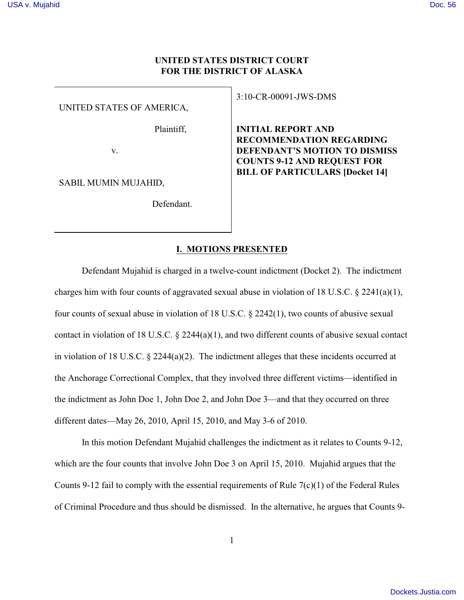# **UNITED STATES DISTRICT COURT FOR THE DISTRICT OF ALASKA**

UNITED STATES OF AMERICA,

Plaintiff,

v.

SABIL MUMIN MUJAHID,

Defendant.

3:10-CR-00091-JWS-DMS

**INITIAL REPORT AND RECOMMENDATION REGARDING DEFENDANT'S MOTION TO DISMISS COUNTS 9-12 AND REQUEST FOR BILL OF PARTICULARS [Docket 14]**

## **I. MOTIONS PRESENTED**

Defendant Mujahid is charged in a twelve-count indictment (Docket 2). The indictment charges him with four counts of aggravated sexual abuse in violation of 18 U.S.C.  $\&$  2241(a)(1), four counts of sexual abuse in violation of 18 U.S.C.  $\S 2242(1)$ , two counts of abusive sexual contact in violation of 18 U.S.C.  $\S$  2244(a)(1), and two different counts of abusive sexual contact in violation of 18 U.S.C. § 2244(a)(2). The indictment alleges that these incidents occurred at the Anchorage Correctional Complex, that they involved three different victims—identified in the indictment as John Doe 1, John Doe 2, and John Doe 3—and that they occurred on three different dates—May 26, 2010, April 15, 2010, and May 3-6 of 2010.

In this motion Defendant Mujahid challenges the indictment as it relates to Counts 9-12, which are the four counts that involve John Doe 3 on April 15, 2010. Mujahid argues that the Counts 9-12 fail to comply with the essential requirements of Rule  $7(c)(1)$  of the Federal Rules of Criminal Procedure and thus should be dismissed. In the alternative, he argues that Counts 9-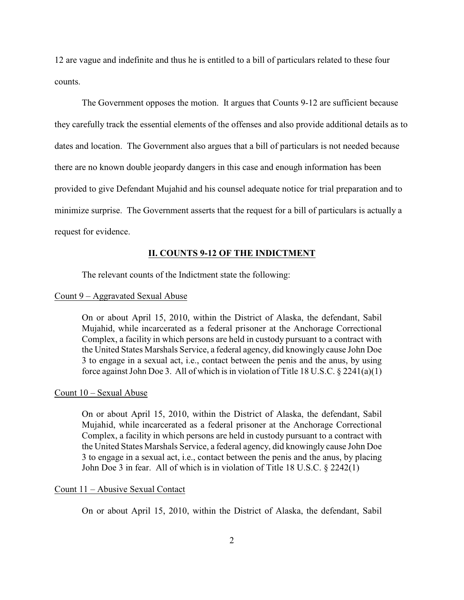12 are vague and indefinite and thus he is entitled to a bill of particulars related to these four counts.

The Government opposes the motion. It argues that Counts 9-12 are sufficient because they carefully track the essential elements of the offenses and also provide additional details as to dates and location. The Government also argues that a bill of particulars is not needed because there are no known double jeopardy dangers in this case and enough information has been provided to give Defendant Mujahid and his counsel adequate notice for trial preparation and to minimize surprise. The Government asserts that the request for a bill of particulars is actually a request for evidence.

## **II. COUNTS 9-12 OF THE INDICTMENT**

The relevant counts of the Indictment state the following:

### Count 9 – Aggravated Sexual Abuse

On or about April 15, 2010, within the District of Alaska, the defendant, Sabil Mujahid, while incarcerated as a federal prisoner at the Anchorage Correctional Complex, a facility in which persons are held in custody pursuant to a contract with the United States Marshals Service, a federal agency, did knowingly cause John Doe 3 to engage in a sexual act, i.e., contact between the penis and the anus, by using force against John Doe 3. All of which is in violation of Title 18 U.S.C. § 2241(a)(1)

### Count 10 – Sexual Abuse

On or about April 15, 2010, within the District of Alaska, the defendant, Sabil Mujahid, while incarcerated as a federal prisoner at the Anchorage Correctional Complex, a facility in which persons are held in custody pursuant to a contract with the United States Marshals Service, a federal agency, did knowingly cause John Doe 3 to engage in a sexual act, i.e., contact between the penis and the anus, by placing John Doe 3 in fear. All of which is in violation of Title 18 U.S.C. § 2242(1)

## Count 11 – Abusive Sexual Contact

On or about April 15, 2010, within the District of Alaska, the defendant, Sabil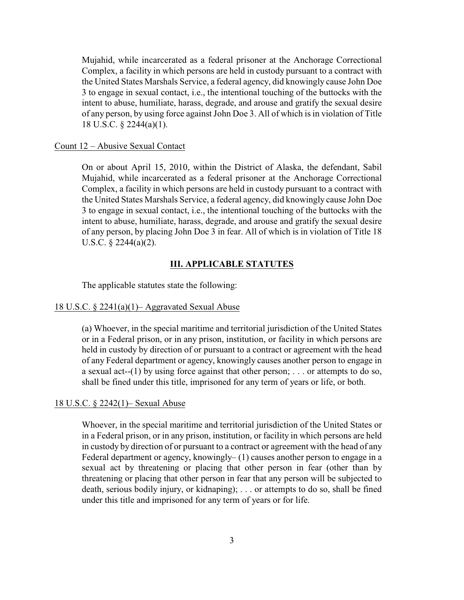Mujahid, while incarcerated as a federal prisoner at the Anchorage Correctional Complex, a facility in which persons are held in custody pursuant to a contract with the United States Marshals Service, a federal agency, did knowingly cause John Doe 3 to engage in sexual contact, i.e., the intentional touching of the buttocks with the intent to abuse, humiliate, harass, degrade, and arouse and gratify the sexual desire of any person, by using force against John Doe 3. All of which is in violation of Title 18 U.S.C. § 2244(a)(1).

#### Count 12 – Abusive Sexual Contact

On or about April 15, 2010, within the District of Alaska, the defendant, Sabil Mujahid, while incarcerated as a federal prisoner at the Anchorage Correctional Complex, a facility in which persons are held in custody pursuant to a contract with the United States Marshals Service, a federal agency, did knowingly cause John Doe 3 to engage in sexual contact, i.e., the intentional touching of the buttocks with the intent to abuse, humiliate, harass, degrade, and arouse and gratify the sexual desire of any person, by placing John Doe 3 in fear. All of which is in violation of Title 18 U.S.C. § 2244(a)(2).

### **III. APPLICABLE STATUTES**

The applicable statutes state the following:

### 18 U.S.C. § 2241(a)(1)– Aggravated Sexual Abuse

(a) Whoever, in the special maritime and territorial jurisdiction of the United States or in a Federal prison, or in any prison, institution, or facility in which persons are held in custody by direction of or pursuant to a contract or agreement with the head of any Federal department or agency, knowingly causes another person to engage in a sexual act--(1) by using force against that other person; . . . or attempts to do so, shall be fined under this title, imprisoned for any term of years or life, or both.

#### 18 U.S.C. § 2242(1)– Sexual Abuse

Whoever, in the special maritime and territorial jurisdiction of the United States or in a Federal prison, or in any prison, institution, or facility in which persons are held in custody by direction of or pursuant to a contract or agreement with the head of any Federal department or agency, knowingly– (1) causes another person to engage in a sexual act by threatening or placing that other person in fear (other than by threatening or placing that other person in fear that any person will be subjected to death, serious bodily injury, or kidnaping); . . . or attempts to do so, shall be fined under this title and imprisoned for any term of years or for life.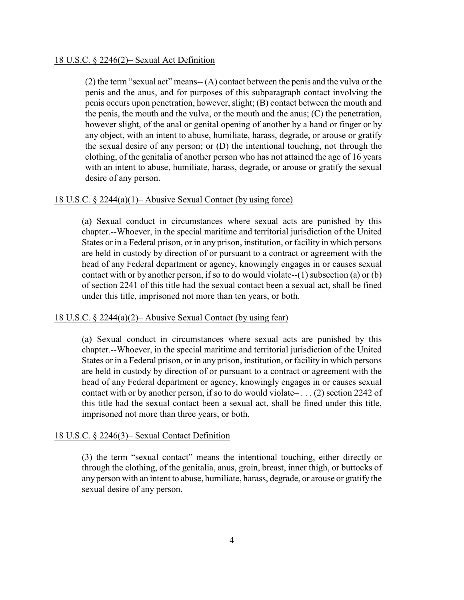### 18 U.S.C. § 2246(2)– Sexual Act Definition

(2) the term "sexual act" means-- (A) contact between the penis and the vulva or the penis and the anus, and for purposes of this subparagraph contact involving the penis occurs upon penetration, however, slight; (B) contact between the mouth and the penis, the mouth and the vulva, or the mouth and the anus; (C) the penetration, however slight, of the anal or genital opening of another by a hand or finger or by any object, with an intent to abuse, humiliate, harass, degrade, or arouse or gratify the sexual desire of any person; or (D) the intentional touching, not through the clothing, of the genitalia of another person who has not attained the age of 16 years with an intent to abuse, humiliate, harass, degrade, or arouse or gratify the sexual desire of any person.

## 18 U.S.C. § 2244(a)(1)– Abusive Sexual Contact (by using force)

(a) Sexual conduct in circumstances where sexual acts are punished by this chapter.--Whoever, in the special maritime and territorial jurisdiction of the United States or in a Federal prison, or in any prison, institution, or facility in which persons are held in custody by direction of or pursuant to a contract or agreement with the head of any Federal department or agency, knowingly engages in or causes sexual contact with or by another person, if so to do would violate--(1) subsection (a) or (b) of section 2241 of this title had the sexual contact been a sexual act, shall be fined under this title, imprisoned not more than ten years, or both.

## 18 U.S.C. § 2244(a)(2)– Abusive Sexual Contact (by using fear)

(a) Sexual conduct in circumstances where sexual acts are punished by this chapter.--Whoever, in the special maritime and territorial jurisdiction of the United States or in a Federal prison, or in any prison, institution, or facility in which persons are held in custody by direction of or pursuant to a contract or agreement with the head of any Federal department or agency, knowingly engages in or causes sexual contact with or by another person, if so to do would violate– . . . (2) section 2242 of this title had the sexual contact been a sexual act, shall be fined under this title, imprisoned not more than three years, or both.

## 18 U.S.C. § 2246(3)– Sexual Contact Definition

(3) the term "sexual contact" means the intentional touching, either directly or through the clothing, of the genitalia, anus, groin, breast, inner thigh, or buttocks of any person with an intent to abuse, humiliate, harass, degrade, or arouse or gratify the sexual desire of any person.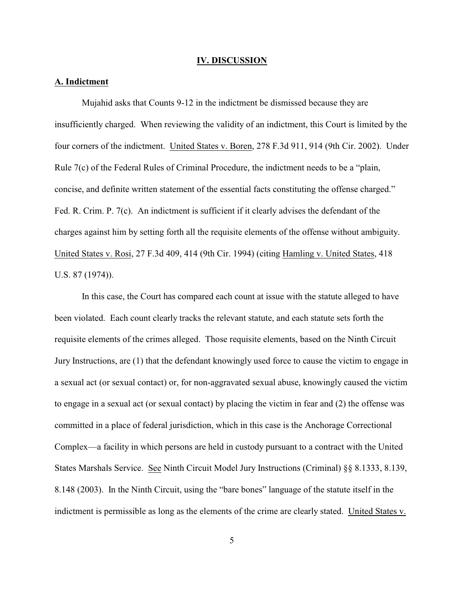#### **IV. DISCUSSION**

### **A. Indictment**

Mujahid asks that Counts 9-12 in the indictment be dismissed because they are insufficiently charged. When reviewing the validity of an indictment, this Court is limited by the four corners of the indictment. United States v. Boren, 278 F.3d 911, 914 (9th Cir. 2002). Under Rule 7(c) of the Federal Rules of Criminal Procedure, the indictment needs to be a "plain, concise, and definite written statement of the essential facts constituting the offense charged." Fed. R. Crim. P. 7(c). An indictment is sufficient if it clearly advises the defendant of the charges against him by setting forth all the requisite elements of the offense without ambiguity. United States v. Rosi, 27 F.3d 409, 414 (9th Cir. 1994) (citing Hamling v. United States, 418 U.S. 87 (1974)).

In this case, the Court has compared each count at issue with the statute alleged to have been violated. Each count clearly tracks the relevant statute, and each statute sets forth the requisite elements of the crimes alleged. Those requisite elements, based on the Ninth Circuit Jury Instructions, are (1) that the defendant knowingly used force to cause the victim to engage in a sexual act (or sexual contact) or, for non-aggravated sexual abuse, knowingly caused the victim to engage in a sexual act (or sexual contact) by placing the victim in fear and (2) the offense was committed in a place of federal jurisdiction, which in this case is the Anchorage Correctional Complex—a facility in which persons are held in custody pursuant to a contract with the United States Marshals Service. See Ninth Circuit Model Jury Instructions (Criminal) §§ 8.1333, 8.139, 8.148 (2003). In the Ninth Circuit, using the "bare bones" language of the statute itself in the indictment is permissible as long as the elements of the crime are clearly stated. United States v.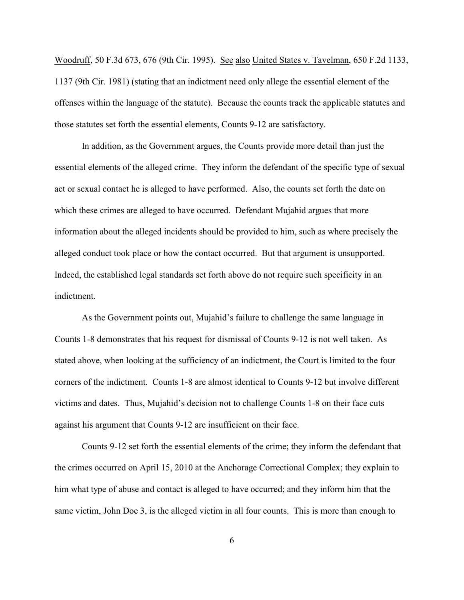Woodruff, 50 F.3d 673, 676 (9th Cir. 1995). See also United States v. Tavelman, 650 F.2d 1133, 1137 (9th Cir. 1981) (stating that an indictment need only allege the essential element of the offenses within the language of the statute). Because the counts track the applicable statutes and those statutes set forth the essential elements, Counts 9-12 are satisfactory.

In addition, as the Government argues, the Counts provide more detail than just the essential elements of the alleged crime. They inform the defendant of the specific type of sexual act or sexual contact he is alleged to have performed. Also, the counts set forth the date on which these crimes are alleged to have occurred. Defendant Mujahid argues that more information about the alleged incidents should be provided to him, such as where precisely the alleged conduct took place or how the contact occurred. But that argument is unsupported. Indeed, the established legal standards set forth above do not require such specificity in an indictment.

As the Government points out, Mujahid's failure to challenge the same language in Counts 1-8 demonstrates that his request for dismissal of Counts 9-12 is not well taken. As stated above, when looking at the sufficiency of an indictment, the Court is limited to the four corners of the indictment. Counts 1-8 are almost identical to Counts 9-12 but involve different victims and dates. Thus, Mujahid's decision not to challenge Counts 1-8 on their face cuts against his argument that Counts 9-12 are insufficient on their face.

Counts 9-12 set forth the essential elements of the crime; they inform the defendant that the crimes occurred on April 15, 2010 at the Anchorage Correctional Complex; they explain to him what type of abuse and contact is alleged to have occurred; and they inform him that the same victim, John Doe 3, is the alleged victim in all four counts. This is more than enough to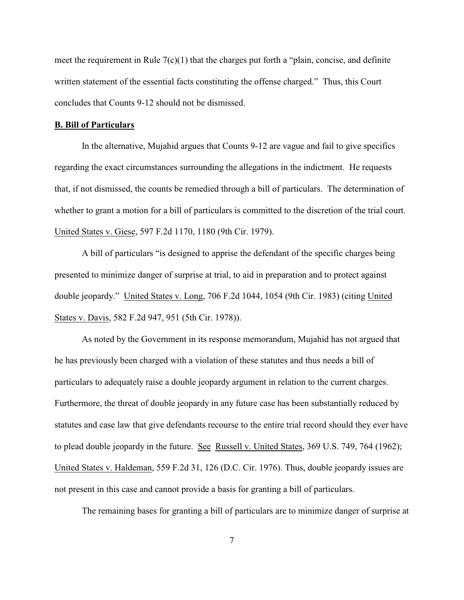meet the requirement in Rule 7(c)(1) that the charges put forth a "plain, concise, and definite written statement of the essential facts constituting the offense charged." Thus, this Court concludes that Counts 9-12 should not be dismissed.

## **B. Bill of Particulars**

In the alternative, Mujahid argues that Counts 9-12 are vague and fail to give specifics regarding the exact circumstances surrounding the allegations in the indictment. He requests that, if not dismissed, the counts be remedied through a bill of particulars. The determination of whether to grant a motion for a bill of particulars is committed to the discretion of the trial court. United States v. Giese, 597 F.2d 1170, 1180 (9th Cir. 1979).

A bill of particulars "is designed to apprise the defendant of the specific charges being presented to minimize danger of surprise at trial, to aid in preparation and to protect against double jeopardy." United States v. Long, 706 F.2d 1044, 1054 (9th Cir. 1983) (citing United States v. Davis, 582 F.2d 947, 951 (5th Cir. 1978)).

As noted by the Government in its response memorandum, Mujahid has not argued that he has previously been charged with a violation of these statutes and thus needs a bill of particulars to adequately raise a double jeopardy argument in relation to the current charges. Furthermore, the threat of double jeopardy in any future case has been substantially reduced by statutes and case law that give defendants recourse to the entire trial record should they ever have to plead double jeopardy in the future. See Russell v. United States, 369 U.S. 749, 764 (1962); United States v. Haldeman, 559 F.2d 31, 126 (D.C. Cir. 1976). Thus, double jeopardy issues are not present in this case and cannot provide a basis for granting a bill of particulars.

The remaining bases for granting a bill of particulars are to minimize danger of surprise at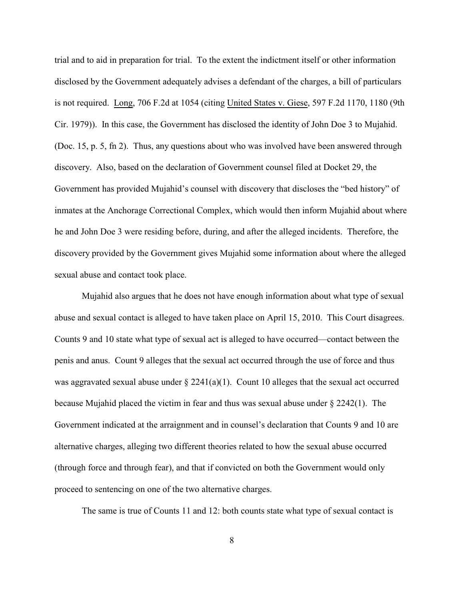trial and to aid in preparation for trial. To the extent the indictment itself or other information disclosed by the Government adequately advises a defendant of the charges, a bill of particulars is not required. Long, 706 F.2d at 1054 (citing United States v. Giese, 597 F.2d 1170, 1180 (9th Cir. 1979)). In this case, the Government has disclosed the identity of John Doe 3 to Mujahid. (Doc. 15, p. 5, fn 2). Thus, any questions about who was involved have been answered through discovery. Also, based on the declaration of Government counsel filed at Docket 29, the Government has provided Mujahid's counsel with discovery that discloses the "bed history" of inmates at the Anchorage Correctional Complex, which would then inform Mujahid about where he and John Doe 3 were residing before, during, and after the alleged incidents. Therefore, the discovery provided by the Government gives Mujahid some information about where the alleged sexual abuse and contact took place.

Mujahid also argues that he does not have enough information about what type of sexual abuse and sexual contact is alleged to have taken place on April 15, 2010. This Court disagrees. Counts 9 and 10 state what type of sexual act is alleged to have occurred—contact between the penis and anus. Count 9 alleges that the sexual act occurred through the use of force and thus was aggravated sexual abuse under  $\S 2241(a)(1)$ . Count 10 alleges that the sexual act occurred because Mujahid placed the victim in fear and thus was sexual abuse under  $\S 2242(1)$ . The Government indicated at the arraignment and in counsel's declaration that Counts 9 and 10 are alternative charges, alleging two different theories related to how the sexual abuse occurred (through force and through fear), and that if convicted on both the Government would only proceed to sentencing on one of the two alternative charges.

The same is true of Counts 11 and 12: both counts state what type of sexual contact is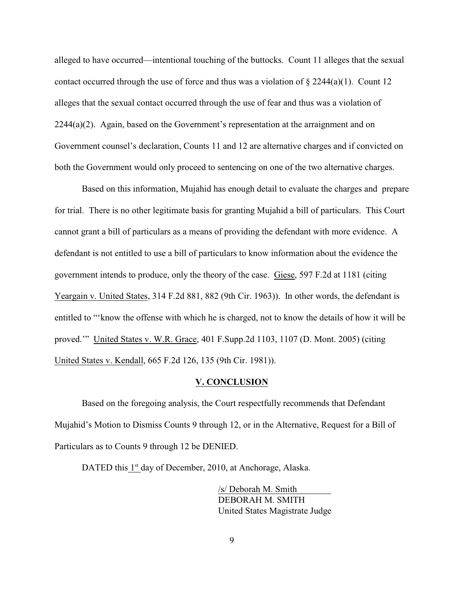alleged to have occurred—intentional touching of the buttocks. Count 11 alleges that the sexual contact occurred through the use of force and thus was a violation of  $\S 2244(a)(1)$ . Count 12 alleges that the sexual contact occurred through the use of fear and thus was a violation of 2244(a)(2). Again, based on the Government's representation at the arraignment and on Government counsel's declaration, Counts 11 and 12 are alternative charges and if convicted on both the Government would only proceed to sentencing on one of the two alternative charges.

Based on this information, Mujahid has enough detail to evaluate the charges and prepare for trial. There is no other legitimate basis for granting Mujahid a bill of particulars. This Court cannot grant a bill of particulars as a means of providing the defendant with more evidence. A defendant is not entitled to use a bill of particulars to know information about the evidence the government intends to produce, only the theory of the case. Giese, 597 F.2d at 1181 (citing Yeargain v. United States, 314 F.2d 881, 882 (9th Cir. 1963)). In other words, the defendant is entitled to "'know the offense with which he is charged, not to know the details of how it will be proved.'" United States v. W.R. Grace, 401 F.Supp.2d 1103, 1107 (D. Mont. 2005) (citing United States v. Kendall, 665 F.2d 126, 135 (9th Cir. 1981)).

#### **V. CONCLUSION**

Based on the foregoing analysis, the Court respectfully recommends that Defendant Mujahid's Motion to Dismiss Counts 9 through 12, or in the Alternative, Request for a Bill of Particulars as to Counts 9 through 12 be DENIED.

DATED this 1st day of December, 2010, at Anchorage, Alaska.

/s/ Deborah M. Smith DEBORAH M. SMITH United States Magistrate Judge